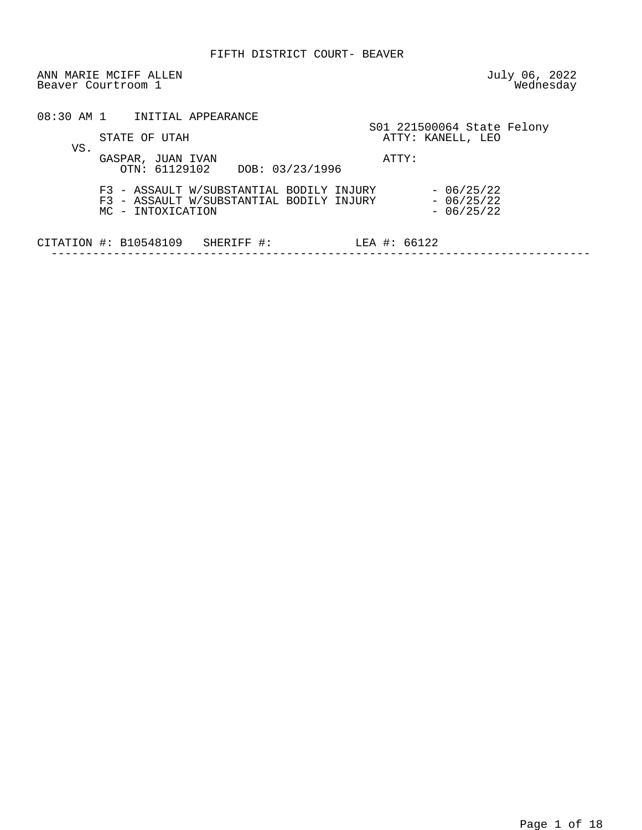ANN MARIE MCIFF ALLEN July 06, 2022<br>Beaver Courtroom 1 Beaver Courtroom 1

|     | 08:30 AM 1 INITIAL APPEARANCE                                                                             |                                                 |
|-----|-----------------------------------------------------------------------------------------------------------|-------------------------------------------------|
| VS. | STATE OF UTAH                                                                                             | S01 221500064 State Felony<br>ATTY: KANELL, LEO |
|     | GASPAR, JUAN IVAN<br>OTN: 61129102 DOB: 03/23/1996                                                        | ATTY:                                           |
|     | F3 - ASSAULT W/SUBSTANTIAL BODILY INJURY<br>F3 - ASSAULT W/SUBSTANTIAL BODILY INJURY<br>MC - INTOXICATION | $-06/25/22$<br>$-06/25/22$<br>$-06/25/22$       |
|     | CITATION $\#$ : B10548109<br>SHERIFF #:                                                                   | LEA #: $66122$                                  |
|     |                                                                                                           |                                                 |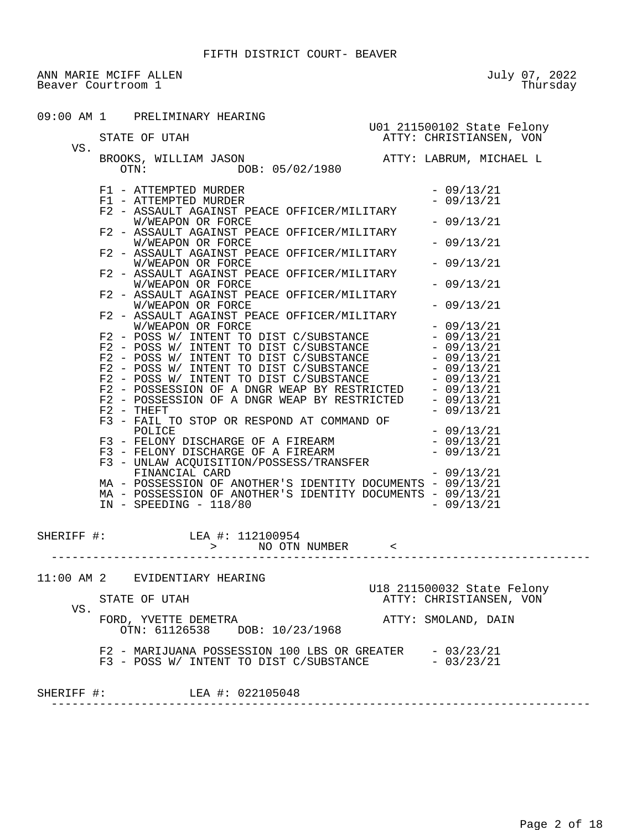ANN MARIE MCIFF ALLEN July 07, 2022<br>Beaver Courtroom 1 Thursday Beaver Courtroom 1

|            | 09:00 AM 1 PRELIMINARY HEARING<br>STATE OF UTAH STATE OF UTAH ATTY: CHRISTIANSEN, VON                                                                                                                                                                                                                                                                                                                                                        |                            |
|------------|----------------------------------------------------------------------------------------------------------------------------------------------------------------------------------------------------------------------------------------------------------------------------------------------------------------------------------------------------------------------------------------------------------------------------------------------|----------------------------|
|            | BROOKS, WILLIAM JASON $\overline{O}$ ATTY: LABRUM, MICHAEL L $\overline{O}$                                                                                                                                                                                                                                                                                                                                                                  |                            |
|            | F1 - ATTEMPTED MURDER<br>F1 - ATTEMPTED MURDER<br>F2 - ASSAULT AGAINST PEACE OFFICER/MILITARY                                                                                                                                                                                                                                                                                                                                                | $-09/13/21$<br>$-09/13/21$ |
|            | W/WEAPON OR FORCE<br>F2 - ASSAULT AGAINST PEACE OFFICER/MILITARY                                                                                                                                                                                                                                                                                                                                                                             | $-09/13/21$                |
|            | W/WEAPON OR FORCE<br>F2 - ASSAULT AGAINST PEACE OFFICER/MILITARY                                                                                                                                                                                                                                                                                                                                                                             | $-09/13/21$                |
|            | W/WEAPON OR FORCE<br>F2 - ASSAULT AGAINST PEACE OFFICER/MILITARY                                                                                                                                                                                                                                                                                                                                                                             | $-09/13/21$                |
|            | W/WEAPON OR FORCE<br>F2 - ASSAULT AGAINST PEACE OFFICER/MILITARY                                                                                                                                                                                                                                                                                                                                                                             | $-09/13/21$                |
|            | W/WEAPON OR FORCE<br>F2 - ASSAULT AGAINST PEACE OFFICER/MILITARY                                                                                                                                                                                                                                                                                                                                                                             | $-09/13/21$                |
|            | W/WEAPON OR FORCE                                                                                                                                                                                                                                                                                                                                                                                                                            | $-09/13/21$                |
|            |                                                                                                                                                                                                                                                                                                                                                                                                                                              |                            |
|            | $\begin{tabular}{l c c c c c c c c} $W/\texttt{WEAPON OK FOKCE}$ & $-$09/13/21$ \\ F2 $-$\texttt{POSW/INTENT TO DIST C/SUBSTANCE}$ & $-$09/13/21$ \\ F2 $-$\texttt{POSW/INTENT TO DIST C/SUBSTANCE}$ & $-$09/13/21$ \\ F2 $-$\texttt{POSW/INTENT TO DIST C/SUBSTANCE}$ & $-$09/13/21$ \\ F2 $-$\texttt{POSW/INTENT TO DIST C/SUBSTANCE}$ & $-$09/13/21$ \\ F2 $-$\texttt{POSSESSION OF A DNGR WEAP BY RESTRICTED}$ & $-$09/$<br>$F2 - THEFT$ | $-09/13/21$                |
|            |                                                                                                                                                                                                                                                                                                                                                                                                                                              |                            |
|            | MA - POSSESSION OF ANOTHER'S IDENTITY DOCUMENTS - 09/13/21                                                                                                                                                                                                                                                                                                                                                                                   |                            |
|            | MA - POSSESSION OF ANOTHER'S IDENTITY DOCUMENTS - 09/13/21<br>$IN - SPEEDING - 118/80$                                                                                                                                                                                                                                                                                                                                                       | $-09/13/21$                |
|            | SHERIFF #: LEA #: 112100954<br>> NO OTN NUMBER <                                                                                                                                                                                                                                                                                                                                                                                             |                            |
|            | 11:00 AM 2 EVIDENTIARY HEARING                                                                                                                                                                                                                                                                                                                                                                                                               | U18 211500032 State Felony |
| VS.        | STATE OF UTAH                                                                                                                                                                                                                                                                                                                                                                                                                                | ATTY: CHRISTIANSEN, VON    |
|            | FORD, YVETTE DEMETRA<br>OTN: 61126538 DOB: 10/23/1968                                                                                                                                                                                                                                                                                                                                                                                        | ATTY: SMOLAND, DAIN        |
|            | F2 - MARIJUANA POSSESSION 100 LBS OR GREATER - 03/23/21<br>$F3$ - POSS W/ INTENT TO DIST C/SUBSTANCE $-03/23/21$                                                                                                                                                                                                                                                                                                                             |                            |
| SHERIFF #: | LEA #: 022105048                                                                                                                                                                                                                                                                                                                                                                                                                             |                            |
|            |                                                                                                                                                                                                                                                                                                                                                                                                                                              |                            |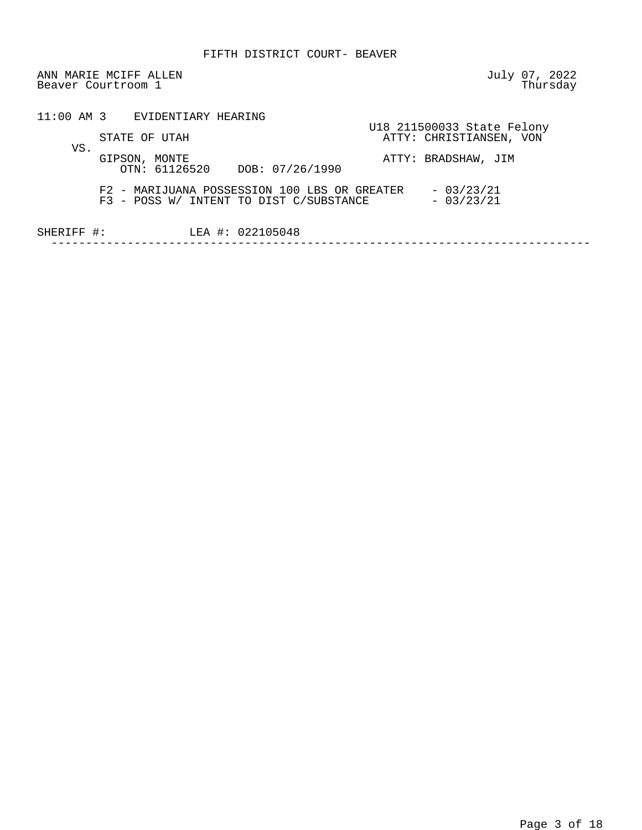ANN MARIE MCIFF ALLEN July 07, 2022<br>Beaver Courtroom 1 Thursday Beaver Courtroom 1

|            | 11:00 AM 3 EVIDENTIARY HEARING                                                                                        |  |
|------------|-----------------------------------------------------------------------------------------------------------------------|--|
|            | U18 211500033 State Felony<br>ATTY: CHRISTIANSEN, VON<br>STATE OF UTAH                                                |  |
| VS.        | GIPSON, MONTE<br>ATTY: BRADSHAW, JIM<br>OTN: 61126520 DOB: 07/26/1990                                                 |  |
|            | F2 - MARIJUANA POSSESSION 100 LBS OR GREATER<br>$-03/23/21$<br>$-03/23/21$<br>F3 - POSS W/ INTENT TO DIST C/SUBSTANCE |  |
| SHERIFF #: | LEA #: 022105048                                                                                                      |  |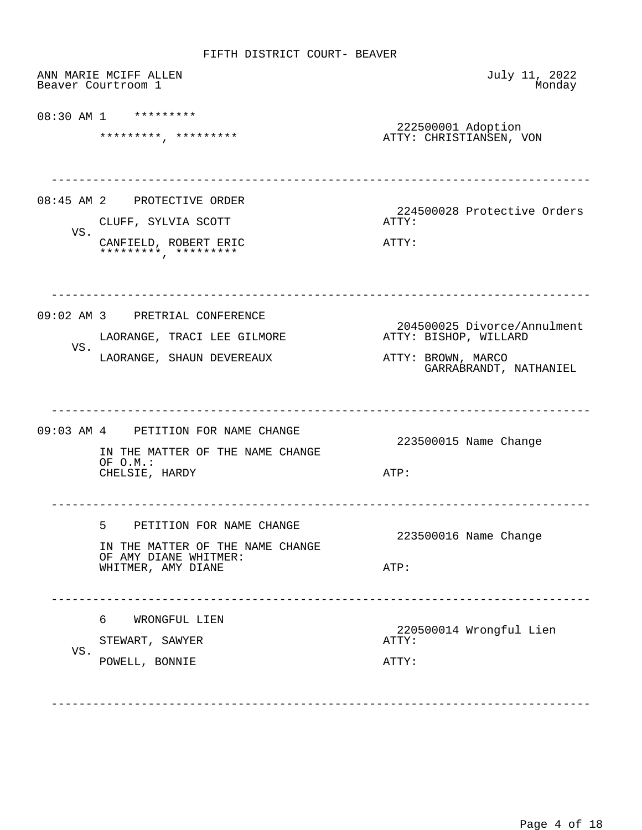|     | ANN MARIE MCIFF ALLEN<br>Beaver Courtroom 1                                                                      | July 11, 2022<br>Monday                                                                              |
|-----|------------------------------------------------------------------------------------------------------------------|------------------------------------------------------------------------------------------------------|
|     | 08:30 AM 1 *********<br>*******************                                                                      | 222500001 Adoption<br>ATTY: CHRISTIANSEN, VON                                                        |
| VS. | 08:45 AM 2 PROTECTIVE ORDER<br>CLUFF, SYLVIA SCOTT<br>CANFIELD, ROBERT ERIC<br>*********, *********              | 224500028 Protective Orders<br>ATTY:<br>ATTY:                                                        |
| VS. | 09:02 AM 3 PRETRIAL CONFERENCE<br>LAORANGE, TRACI LEE GILMORE<br>LAORANGE, SHAUN DEVEREAUX                       | 204500025 Divorce/Annulment<br>ATTY: BISHOP, WILLARD<br>ATTY: BROWN, MARCO<br>GARRABRANDT, NATHANIEL |
|     | 09:03 AM 4 PETITION FOR NAME CHANGE<br>IN THE MATTER OF THE NAME CHANGE<br>OF O.M.:<br>CHELSIE, HARDY            | 223500015 Name Change<br>ATP:                                                                        |
|     | 5<br>PETITION FOR NAME CHANGE<br>IN THE MATTER OF THE NAME CHANGE<br>OF AMY DIANE WHITMER:<br>WHITMER, AMY DIANE | 223500016 Name Change<br>ATP:                                                                        |
| VS. | 6<br>WRONGFUL LIEN<br>STEWART, SAWYER<br>POWELL, BONNIE                                                          | 220500014 Wrongful Lien<br>ATTY:<br>ATTY:                                                            |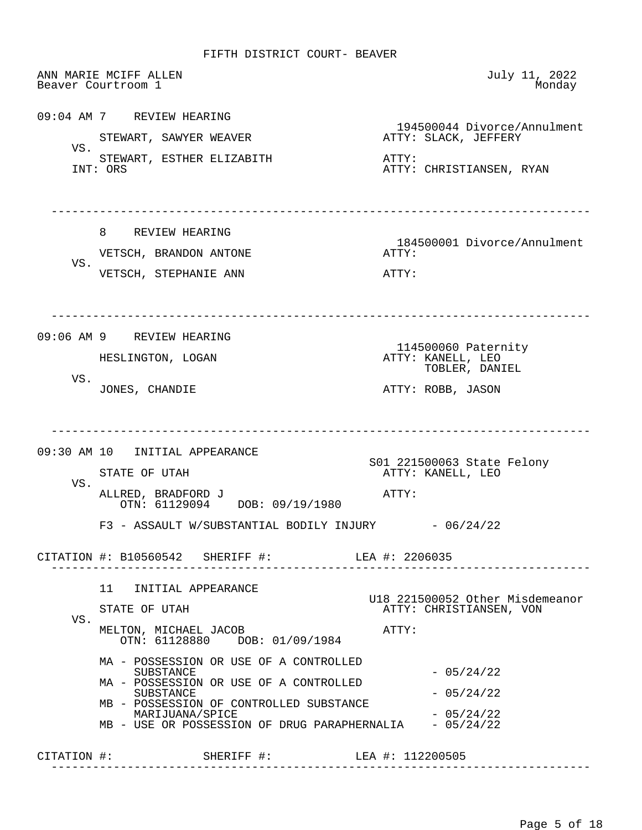ANN MARIE MCIFF ALLEN July 11, 2022 Beaver Courtroom 1 09:04 AM 7 REVIEW HEARING 194500044 Divorce/Annulment<br>ATTY: SLACK, JEFFERY STEWART, SAWYER WEAVER VS. STEWART, ESTHER ELIZABITH ATTY: ATTY: ORS ATTY: CHRISTIANSEN, RYAN ------------------------------------------------------------------------------ 8 REVIEW HEARING 184500001 Divorce/Annulment VETSCH, BRANDON ANTONE **ATTY:**  VS. VETSCH, STEPHANIE ANN **ATTY:**  ------------------------------------------------------------------------------ 09:06 AM 9 REVIEW HEARING 114500060 Paternity (1995)<br>HESLINGTON, LOGAN (1996) ATTY: KANELL, LEO ATTY: KANELL, LEO TOBLER, DANIEL VS.<br>JONES, CHANDIE ATTY: ROBB, JASON ------------------------------------------------------------------------------ 09:30 AM 10 INITIAL APPEARANCE SO1 221500063 State Felony<br>STATE OF UTAH TEXEL STATE ATTY: KANELL, LEO ATTY: KANELL, LEO VS. ALLRED, BRADFORD J ATTY: OTN: 61129094 DOB: 09/19/1980  $F3$  - ASSAULT W/SUBSTANTIAL BODILY INJURY  $-06/24/22$  CITATION #: B10560542 SHERIFF #: LEA #: 2206035 ------------------------------------------------------------------------------ 11 INITIAL APPEARANCE U18 221500052 Other Misdemeanor ATTY: CHRISTIANSEN, VON VS. MELTON, MICHAEL JACOB ATTY: OTN: 61128880 DOB: 01/09/1984 MA - POSSESSION OR USE OF A CONTROLLED  $-05/24/22$  MA - POSSESSION OR USE OF A CONTROLLED  $SUBSTATE$   $- 05/24/22$  MB - POSSESSION OF CONTROLLED SUBSTANCE MARIJUANA/SPICE - 05/24/22 MB - USE OR POSSESSION OF DRUG PARAPHERNALIA - 05/24/22 CITATION #: SHERIFF #: LEA #: 112200505 ------------------------------------------------------------------------------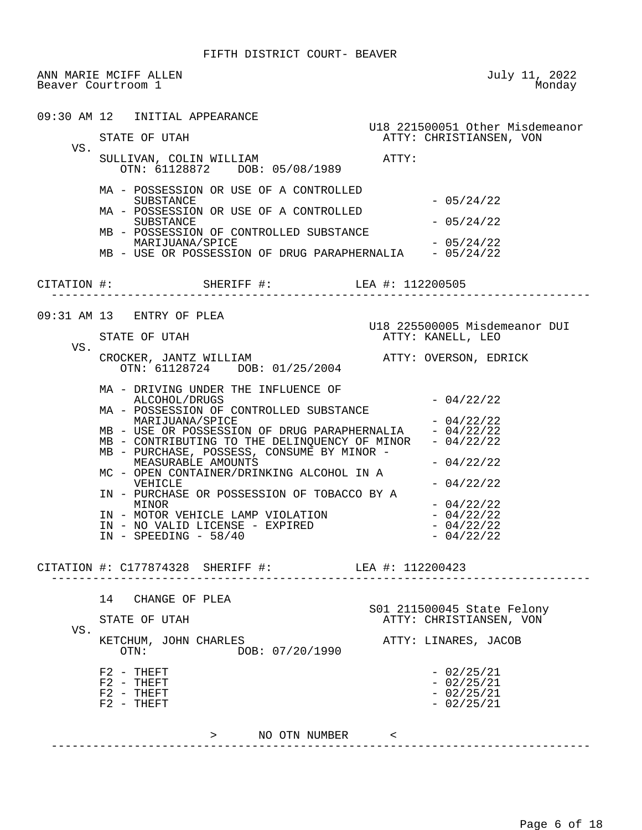|     | ANN MARIE MCIFF ALLEN<br>Beaver Courtroom 1                                                                                                                                                                                                                                                                                                                                                                                                                                                                | July 11, 2022<br>Monday                                                                                                                            |
|-----|------------------------------------------------------------------------------------------------------------------------------------------------------------------------------------------------------------------------------------------------------------------------------------------------------------------------------------------------------------------------------------------------------------------------------------------------------------------------------------------------------------|----------------------------------------------------------------------------------------------------------------------------------------------------|
|     | 09:30 AM 12 INITIAL APPEARANCE                                                                                                                                                                                                                                                                                                                                                                                                                                                                             | U18 221500051 Other Misdemeanor                                                                                                                    |
| VS. | STATE OF UTAH                                                                                                                                                                                                                                                                                                                                                                                                                                                                                              | ATTY: CHRISTIANSEN, VON                                                                                                                            |
|     | SULLIVAN, COLIN WILLIAM<br>OTN: 61128872 DOB: 05/08/1989                                                                                                                                                                                                                                                                                                                                                                                                                                                   | ATTY:                                                                                                                                              |
|     | MA - POSSESSION OR USE OF A CONTROLLED<br>SUBSTANCE<br>MA - POSSESSION OR USE OF A CONTROLLED<br>SUBSTANCE                                                                                                                                                                                                                                                                                                                                                                                                 | $-05/24/22$<br>$-05/24/22$                                                                                                                         |
|     | MB - POSSESSION OF CONTROLLED SUBSTANCE<br>MARIJUANA/SPICE<br>MB - USE OR POSSESSION OF DRUG PARAPHERNALIA - 05/24/22                                                                                                                                                                                                                                                                                                                                                                                      | $-05/24/22$                                                                                                                                        |
|     | CITATION #: SHERIFF #: LEA #: 112200505                                                                                                                                                                                                                                                                                                                                                                                                                                                                    |                                                                                                                                                    |
|     | 09:31 AM 13 ENTRY OF PLEA                                                                                                                                                                                                                                                                                                                                                                                                                                                                                  | U18 225500005 Misdemeanor DUI                                                                                                                      |
|     | STATE OF UTAH                                                                                                                                                                                                                                                                                                                                                                                                                                                                                              | ATTY: KANELL, LEO                                                                                                                                  |
| VS. | CROCKER, JANTZ WILLIAM<br>OTN: 61128724 DOB: 01/25/2004                                                                                                                                                                                                                                                                                                                                                                                                                                                    | ATTY: OVERSON, EDRICK                                                                                                                              |
|     | MA - DRIVING UNDER THE INFLUENCE OF<br>ALCOHOL/DRUGS<br>MA - POSSESSION OF CONTROLLED SUBSTANCE<br>MARIJUANA/SPICE<br>MB - USE OR POSSESSION OF DRUG PARAPHERNALIA<br>MB - CONTRIBUTING TO THE DELINQUENCY OF MINOR<br>MB - PURCHASE, POSSESS, CONSUME BY MINOR -<br>MEASURABLE AMOUNTS<br>MC - OPEN CONTAINER/DRINKING ALCOHOL IN A<br>VEHICLE<br>IN - PURCHASE OR POSSESSION OF TOBACCO BY A<br>MINOR<br>IN - MOTOR VEHICLE LAMP VIOLATION<br>IN - NO VALID LICENSE - EXPIRED<br>$IN - SPEEDING - 58/40$ | $-04/22/22$<br>$-04/22/22$<br>$-04/22/22$<br>$-04/22/22$<br>$-04/22/22$<br>$-04/22/22$<br>$-04/22/22$<br>$-04/22/22$<br>$-04/22/22$<br>$-04/22/22$ |
|     | CITATION #: C177874328 SHERIFF #: LEA #: 112200423                                                                                                                                                                                                                                                                                                                                                                                                                                                         |                                                                                                                                                    |
| VS. | 14 CHANGE OF PLEA<br>STATE OF UTAH<br>KETCHUM, JOHN CHARLES<br>DOB: 07/20/1990<br>$\cap T N$ :                                                                                                                                                                                                                                                                                                                                                                                                             | S01 211500045 State Felony<br>ATTY: CHRISTIANSEN, VON<br>ATTY: LINARES, JACOB                                                                      |
|     | $F2 - THEFT$                                                                                                                                                                                                                                                                                                                                                                                                                                                                                               | $-02/25/21$                                                                                                                                        |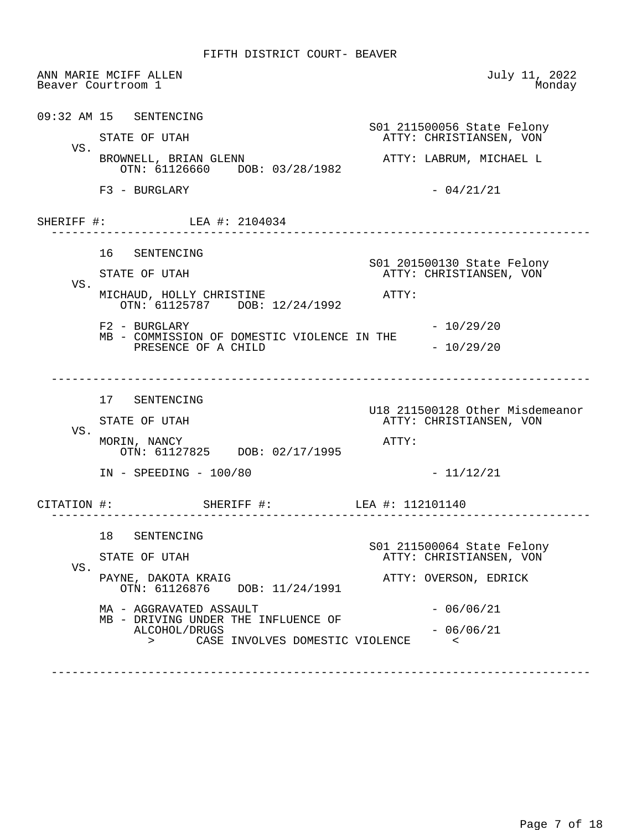ANN MARIE MCIFF ALLEN July 11, 2022 Beaver Courtroom 1 09:32 AM 15 SENTENCING S01 211500056 State Felony ATTY: CHRISTIANSEN, VON VS.<br>BROWNELL, BRIAN GLENN ATTY: LABRUM, MICHAEL L OTN: 61126660 DOB: 03/28/1982  $F3 - BURGLARY - 04/21/21$ SHERIFF #: LEA #: 2104034 ------------------------------------------------------------------------------ 16 SENTENCING S01 201500130 State Felony ATTY: CHRISTIANSEN, VON VS. MICHAUD, HOLLY CHRISTINE ATTY: OTN: 61125787 DOB: 12/24/1992  $F2 - BURGLARY - 10/29/20$  MB - COMMISSION OF DOMESTIC VIOLENCE IN THE PRESENCE OF A CHILD  $-10/29/20$  ------------------------------------------------------------------------------ 17 SENTENCING U18 211500128 Other Misdemeanor ATTY: CHRISTIANSEN, VON VS. MORIN, NANCY ATTY: OTN: 61127825 DOB: 02/17/1995 IN - SPEEDING - 100/80 - 11/12/21 CITATION #: SHERIFF #: LEA #: 112101140 ------------------------------------------------------------------------------ 18 SENTENCING S01 211500064 State Felony ATTY: CHRISTIANSEN, VON VS.<br>PAYNE, DAKOTA KRAIG ATTY: OVERSON, EDRICK OTN: 61126876 DOB: 11/24/1991  $MA - AGGRAVATED ASSAULT$  - 06/06/21 MB - DRIVING UNDER THE INFLUENCE OF<br>ALCOHOL/DRUGS  $-06/06/21$  > CASE INVOLVES DOMESTIC VIOLENCE < ------------------------------------------------------------------------------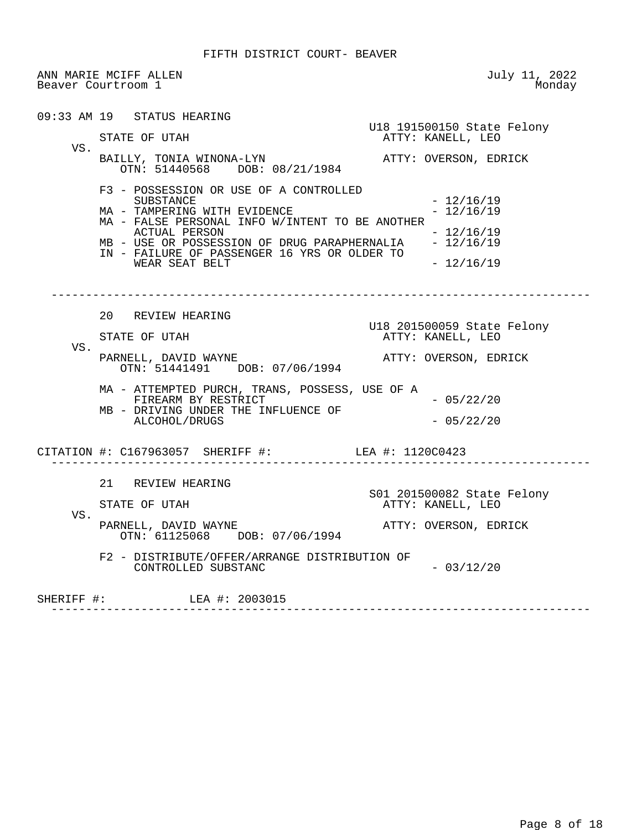ANN MARIE MCIFF ALLEN July 11, 2022 Beaver Courtroom 1

 09:33 AM 19 STATUS HEARING U18 191500150 State Felony ATTY: KANELL, LEO VS. BAILLY, TONIA WINONA-LYN ATTY: OVERSON, EDRICK OTN: 51440568 DOB: 08/21/1984 F3 - POSSESSION OR USE OF A CONTROLLED  $- 12/16/19$ <br> $- 12/16/19$ MA - TAMPERING WITH EVIDENCE MA - FALSE PERSONAL INFO W/INTENT TO BE ANOTHER ACTUAL PERSON - 12/16/19 MB - USE OR POSSESSION OF DRUG PARAPHERNALIA - 12/16/19 IN - FAILURE OF PASSENGER 16 YRS OR OLDER TO WEAR SEAT BELT  $- 12/16/19$  ------------------------------------------------------------------------------ 20 REVIEW HEARING U18 201500059 State Felony ATTY: KANELL, LEO VS. PARNELL, DAVID WAYNE **ATTY:** OVERSON, EDRICK OTN: 51441491 DOB: 07/06/1994 MA - ATTEMPTED PURCH, TRANS, POSSESS, USE OF A FIREARM BY RESTRICT - 05/22/20 MB - DRIVING UNDER THE INFLUENCE OF ALCOHOL/DRUGS - 05/22/20 CITATION #: C167963057 SHERIFF #: LEA #: 1120C0423 ------------------------------------------------------------------------------ 21 REVIEW HEARING S01 201500082 State Felony ATTY: KANELL, LEO VS. PARNELL, DAVID WAYNE **ATTY: OVERSON, EDRICK**  OTN: 61125068 DOB: 07/06/1994 F2 - DISTRIBUTE/OFFER/ARRANGE DISTRIBUTION OF CONTROLLED SUBSTANC - 03/12/20 SHERIFF #: LEA #: 2003015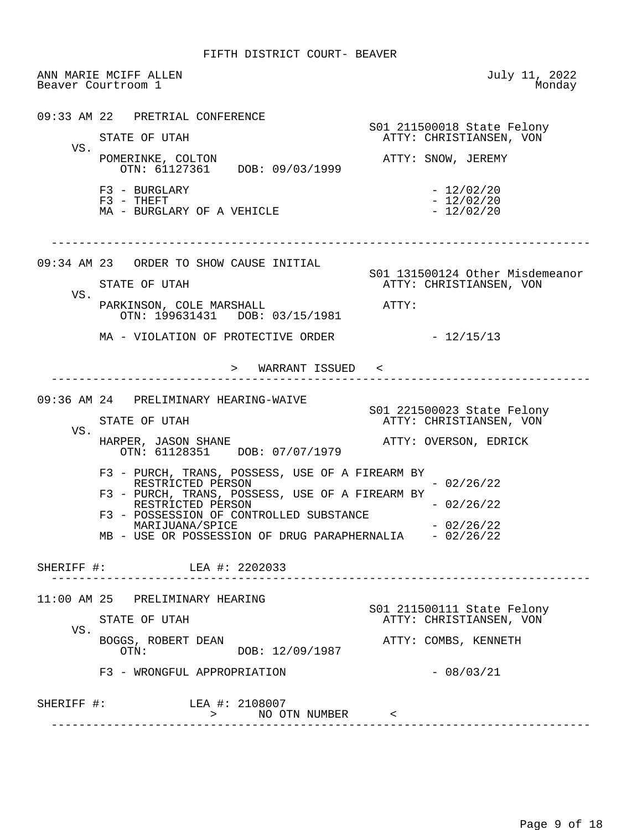ANN MARIE MCIFF ALLEN July 11, 2022 Beaver Courtroom 1 09:33 AM 22 PRETRIAL CONFERENCE S01 211500018 State Felony ATTY: CHRISTIANSEN, VON VS. POMERINKE, COLTON **ATTY: SNOW, JEREMY**  OTN: 61127361 DOB: 09/03/1999  $F3 - BURGLARY$ <br> $F3 - THEFT$  - 12/02/20  $- 12/02/20$ <br> $- 12/02/20$ MA - BURGLARY OF A VEHICLE ------------------------------------------------------------------------------ 09:34 AM 23 ORDER TO SHOW CAUSE INITIAL S01 131500124 Other Misdemeanor ATTY: CHRISTIANSEN, VON VS. PARKINSON, COLE MARSHALL **ATTY:**  OTN: 199631431 DOB: 03/15/1981  $MA - VIOLATION OF PROTECTIVE ORDER - 12/15/13$  > WARRANT ISSUED < ------------------------------------------------------------------------------ 09:36 AM 24 PRELIMINARY HEARING-WAIVE S01 221500023 State Felony ATTY: CHRISTIANSEN, VON VS. HARPER, JASON SHANE ATTY: OVERSON, EDRICK OTN: 61128351 DOB: 07/07/1979 F3 - PURCH, TRANS, POSSESS, USE OF A FIREARM BY RESTRICTED PERSON  $-02/26/22$  F3 - PURCH, TRANS, POSSESS, USE OF A FIREARM BY RESTRICTED PERSON  $-02/26/22$  F3 - POSSESSION OF CONTROLLED SUBSTANCE  $MARIJUANA/SPICE$   $-02/26/22$ MB - USE OR POSSESSION OF DRUG PARAPHERNALIA - 02/26/22 SHERIFF #: LEA #: 2202033 ------------------------------------------------------------------------------ 11:00 AM 25 PRELIMINARY HEARING S01 211500111 State Felony ATTY: CHRISTIANSEN, VON VS. BOGGS, ROBERT DEAN <br>
OTN: DOB: 12/09/1987 ATTY: COMBS, KENNETH DOB: 12/09/1987 F3 - WRONGFUL APPROPRIATION - 08/03/21 SHERIFF #: LEA #: 2108007 > NO OTN NUMBER < ------------------------------------------------------------------------------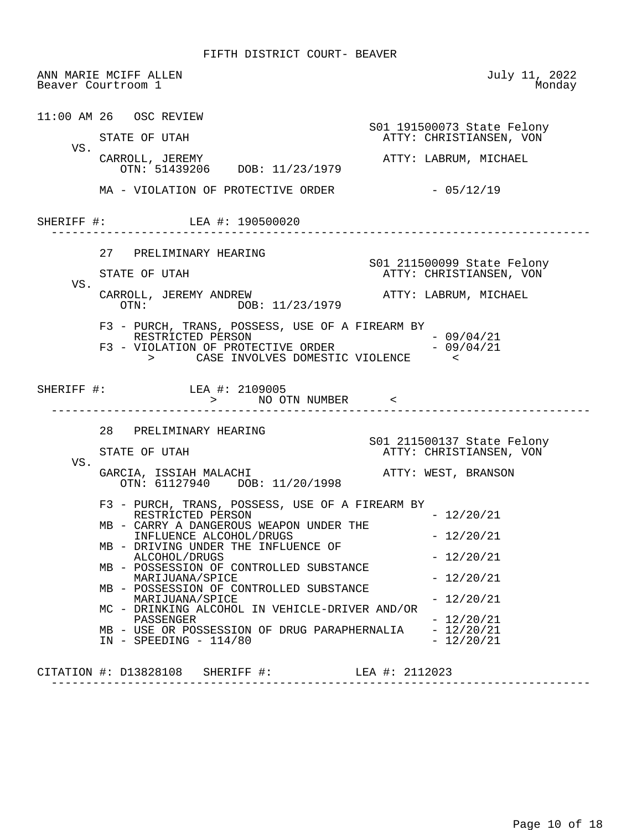|            | ANN MARIE MCIFF ALLEN<br>Beaver Courtroom 1                                                                                                                                                  | July 11, 2022<br>Monday                               |
|------------|----------------------------------------------------------------------------------------------------------------------------------------------------------------------------------------------|-------------------------------------------------------|
|            | 11:00 AM 26 OSC REVIEW<br>STATE OF UTAH                                                                                                                                                      | S01 191500073 State Felony<br>ATTY: CHRISTIANSEN, VON |
| VS.        | CARROLL, JEREMY<br>OTN: $51439206$ DOB: $11/23/1979$                                                                                                                                         | ATTY: LABRUM, MICHAEL                                 |
|            | MA - VIOLATION OF PROTECTIVE ORDER                                                                                                                                                           | $-05/12/19$                                           |
|            | SHERIFF #: LEA #: 190500020                                                                                                                                                                  |                                                       |
|            | 27 PRELIMINARY HEARING                                                                                                                                                                       |                                                       |
| VS.        | STATE OF UTAH                                                                                                                                                                                | S01 211500099 State Felony<br>ATTY: CHRISTIANSEN, VON |
|            | CARROLL, JEREMY ANDREW<br>OTN: DOB: 11/23/1979                                                                                                                                               | ATTY: LABRUM, MICHAEL                                 |
|            | F3 - PURCH, TRANS, POSSESS, USE OF A FIREARM BY<br>RESTRICTED PERSON<br>RESTRICTED PERSON - 09/04/21<br>F3 - VIOLATION OF PROTECTIVE ORDER - 09/04/21<br>> CASE INVOLVES DOMESTIC VIOLENCE < | $-09/04/21$                                           |
| SHERIFF #: | LEA #: 2109005<br>> NO OTN NUMBER <                                                                                                                                                          |                                                       |
|            | 28 PRELIMINARY HEARING                                                                                                                                                                       | S01 211500137 State Felony                            |
| VS.        | STATE OF UTAH                                                                                                                                                                                | ATTY: CHRISTIANSEN, VON                               |
|            | GARCIA, ISSIAH MALACHI<br>OTN: 61127940 DOB: 11/20/1998                                                                                                                                      | ATTY: WEST, BRANSON                                   |
|            | F3 - PURCH, TRANS, POSSESS, USE OF A FIREARM BY<br>RESTRICTED PERSON                                                                                                                         | $-12/20/21$                                           |
|            | MB - CARRY A DANGEROUS WEAPON UNDER THE<br>INFLUENCE ALCOHOL/DRUGS                                                                                                                           | $-12/20/21$                                           |
|            | MB - DRIVING UNDER THE INFLUENCE OF<br>ALCOHOL/DRUGS<br>MB - POSSESSION OF CONTROLLED SUBSTANCE                                                                                              | $-12/20/21$                                           |
|            | MARIJUANA/SPICE<br>MB - POSSESSION OF CONTROLLED SUBSTANCE                                                                                                                                   | $-12/20/21$                                           |
|            | MARIJUANA/SPICE<br>MC - DRINKING ALCOHOL IN VEHICLE-DRIVER AND/OR                                                                                                                            | $-12/20/21$                                           |
|            | PASSENGER<br>MB - USE OR POSSESSION OF DRUG PARAPHERNALIA<br>$IN - SPEEDING - 114/80$                                                                                                        | $-12/20/21$<br>$-12/20/21$<br>$-12/20/21$             |
|            | CITATION #: D13828108 SHERIFF #:                                                                                                                                                             | LEA #: 2112023                                        |

------------------------------------------------------------------------------

Page 10 of 18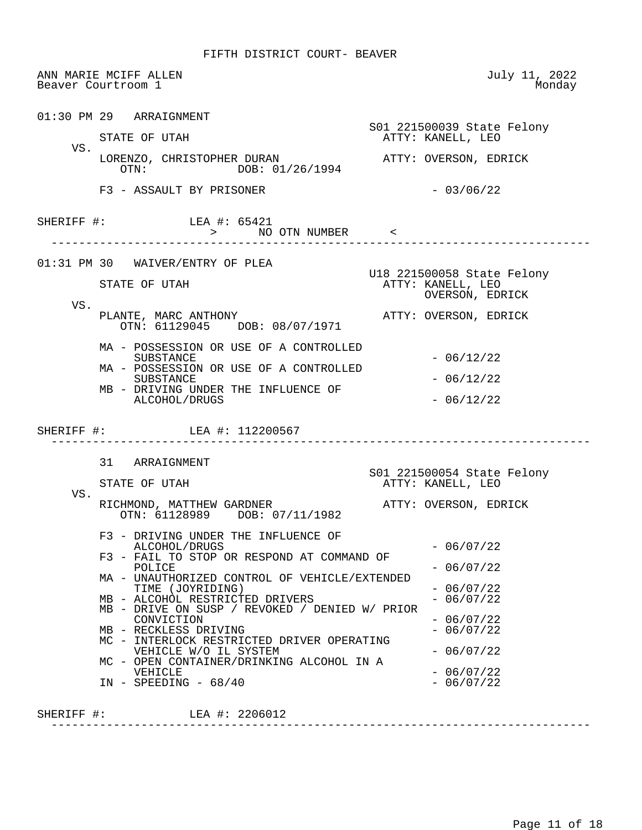ANN MARIE MCIFF ALLEN July 11, 2022 Beaver Courtroom 1 01:30 PM 29 ARRAIGNMENT S01 221500039 State Felony ATTY: KANELL, LEO VS. LORENZO, CHRISTOPHER DURAN ATTY: OVERSON, EDRICK<br>
OTN: 01/26/1994 DOB: 01/26/1994  $F3 - ASSAULT BY PRISONER$  - 03/06/22 SHERIFF #: LEA #: 65421 > NO OTN NUMBER < ------------------------------------------------------------------------------ 01:31 PM 30 WAIVER/ENTRY OF PLEA U18 221500058 State Felony ATTY: KANELL, LEO OVERSON, EDRICK VS. PLANTE, MARC ANTHONY **ATTY: OVERSON, EDRICK**  OTN: 61129045 DOB: 08/07/1971 MA - POSSESSION OR USE OF A CONTROLLED  $-06/12/22$  MA - POSSESSION OR USE OF A CONTROLLED  $-06/12/22$  MB - DRIVING UNDER THE INFLUENCE OF  $ALCOHOL/DRUGS$   $-06/12/22$ SHERIFF #: LEA #: 112200567 ------------------------------------------------------------------------------ 31 ARRAIGNMENT S01 221500054 State Felony ATTY: KANELL, LEO VS. RICHMOND, MATTHEW GARDNER **ATTY: OVERSON, EDRICK**  OTN: 61128989 DOB: 07/11/1982 F3 - DRIVING UNDER THE INFLUENCE OF  $ALCOHOL/DRUGS$   $-06/07/22$  F3 - FAIL TO STOP OR RESPOND AT COMMAND OF  $POLICE$  - 06/07/22 MA - UNAUTHORIZED CONTROL OF VEHICLE/EXTENDED TIME (JOYRIDING) - 06/07/22 MB - ALCOHOL RESTRICTED DRIVERS - 06/07/22 MB - DRIVE ON SUSP / REVOKED / DENIED W/ PRIOR CONVICTION - 06/07/22<br>RECKLESS DRIVING - 206/07/22 MB - RECKLESS DRIVING MC - INTERLOCK RESTRICTED DRIVER OPERATING VEHICLE W/O IL SYSTEM - 06/07/22 MC - OPEN CONTAINER/DRINKING ALCOHOL IN A VEHICLE  $-06/07/22$ <br> $-06/07/22$ IN - SPEEDING -  $68/40$ SHERIFF #: LEA #: 2206012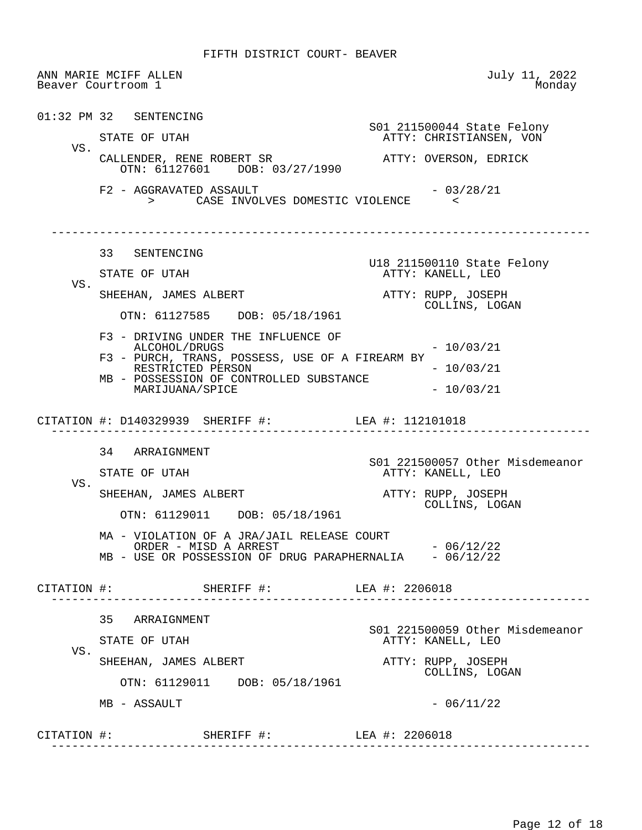ANN MARIE MCIFF ALLEN July 11, 2022 Beaver Courtroom 1 01:32 PM 32 SENTENCING S01 211500044 State Felony ATTY: CHRISTIANSEN, VON VS. CALLENDER, RENE ROBERT SR ATTY: OVERSON, EDRICK OTN: 61127601 DOB: 03/27/1990  $F2 - AGGRAVATED ASSAULT$  - 03/28/21 > CASE INVOLVES DOMESTIC VIOLENCE < ------------------------------------------------------------------------------ 33 SENTENCING U18 211500110 State Felony ATTY: KANELL, LEO VS. SHEEHAN, JAMES ALBERT **ATTY:** RUPP, JOSEPH COLLINS, LOGAN OTN: 61127585 DOB: 05/18/1961 F3 - DRIVING UNDER THE INFLUENCE OF  $ALCOHOL/DRUGS$   $- 10/03/21$  F3 - PURCH, TRANS, POSSESS, USE OF A FIREARM BY RESTRICTED PERSON - 10/03/21 MB - POSSESSION OF CONTROLLED SUBSTANCE MARIJUANA/SPICE  $- 10/03/21$  CITATION #: D140329939 SHERIFF #: LEA #: 112101018 ------------------------------------------------------------------------------ 34 ARRAIGNMENT S01 221500057 Other Misdemeanor<br>STATE OF UTAH MISS RESOURCE ATTY: KANELL, LEO ATTY: KANELL, LEO VS. SHEEHAN, JAMES ALBERT ATTY: RUPP, JOSEPH COLLINS, LOGAN OTN: 61129011 DOB: 05/18/1961 MA - VIOLATION OF A JRA/JAIL RELEASE COURT ORDER – MISD A ARREST  $-$  06/12/22 MB - USE OR POSSESSION OF DRUG PARAPHERNALIA - 06/12/22 CITATION #: SHERIFF #: LEA #: 2206018 ------------------------------------------------------------------------------ 35 ARRAIGNMENT S01 221500059 Other Misdemeanor ATTY: KANELL, LEO VS. SHEEHAN, JAMES ALBERT **ATTY:** RUPP, JOSEPH COLLINS, LOGAN OTN: 61129011 DOB: 05/18/1961  $MB - ASSAULT$  - 06/11/22 CITATION #: SHERIFF #: LEA #: 2206018 ------------------------------------------------------------------------------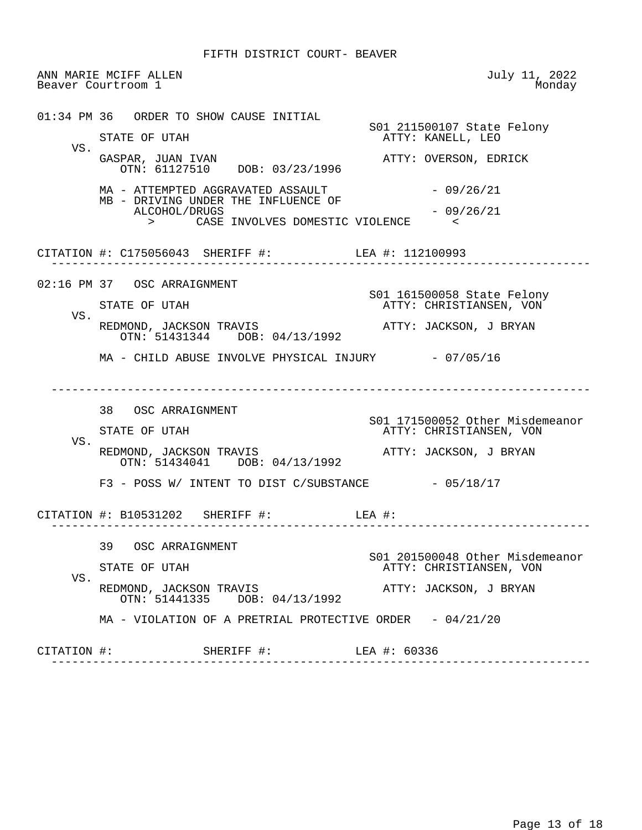ANN MARIE MCIFF ALLEN July 11, 2022 Beaver Courtroom 1 01:34 PM 36 ORDER TO SHOW CAUSE INITIAL SO1 211500107 State Felony<br>STATE OF UTAH TERRY STATE ATTY: KANELL, LEO ATTY: KANELL, LEO VS.<br>GASPAR, JUAN IVAN ATTY: OVERSON, EDRICK OTN: 61127510 DOB: 03/23/1996  $MA - ATTEMPTED AGGRAVATED ASSAULT$  - 09/26/21 MB - DRIVING UNDER THE INFLUENCE OF  $ALCOHOL/DRUGS$   $-09/26/21$  > CASE INVOLVES DOMESTIC VIOLENCE < CITATION #: C175056043 SHERIFF #: LEA #: 112100993 ------------------------------------------------------------------------------ 02:16 PM 37 OSC ARRAIGNMENT S01 161500058 State Felony ATTY: CHRISTIANSEN, VON VS. REDMOND, JACKSON TRAVIS **ATTY: JACKSON, J BRYAN**  OTN: 51431344 DOB: 04/13/1992 MA - CHILD ABUSE INVOLVE PHYSICAL INJURY - 07/05/16 ------------------------------------------------------------------------------ 38 OSC ARRAIGNMENT S01 171500052 Other Misdemeanor ATTY: CHRISTIANSEN, VON VS. REDMOND, JACKSON TRAVIS **ATTY:** JACKSON, J BRYAN OTN: 51434041 DOB: 04/13/1992  $F3$  - POSS W/ INTENT TO DIST C/SUBSTANCE  $-05/18/17$  CITATION #: B10531202 SHERIFF #: LEA #: ------------------------------------------------------------------------------ 39 OSC ARRAIGNMENT S01 201500048 Other Misdemeanor ATTY: CHRISTIANSEN, VON VS. REDMOND, JACKSON TRAVIS **ATTY: JACKSON, J BRYAN**  OTN: 51441335 DOB: 04/13/1992 MA - VIOLATION OF A PRETRIAL PROTECTIVE ORDER - 04/21/20 CITATION #: SHERIFF #: LEA #: 60336 ------------------------------------------------------------------------------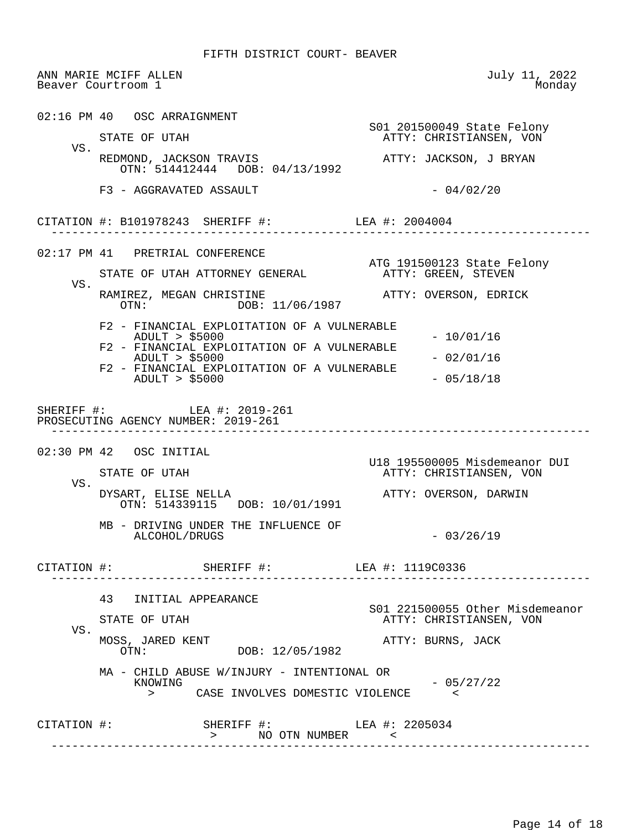ANN MARIE MCIFF ALLEN July 11, 2022 Beaver Courtroom 1 02:16 PM 40 OSC ARRAIGNMENT S01 201500049 State Felony ATTY: CHRISTIANSEN, VON VS. REDMOND, JACKSON TRAVIS **ATTY: JACKSON, J BRYAN**  OTN: 514412444 DOB: 04/13/1992  $F3 - AGGRAVATED ASSAULT$  - 04/02/20 CITATION #: B101978243 SHERIFF #: LEA #: 2004004 ------------------------------------------------------------------------------ 02:17 PM 41 PRETRIAL CONFERENCE ATG 191500123 State Felony<br>ATTY: GREEN, STEVEN STATE OF UTAH ATTORNEY GENERAL VS. RAMIREZ, MEGAN CHRISTINE ATTY: OVERSON, EDRICK DOB: 11/06/1987 F2 - FINANCIAL EXPLOITATION OF A VULNERABLE ADULT > \$5000 - 10/01/16 F2 - FINANCIAL EXPLOITATION OF A VULNERABLE ADULT > \$5000 - 02/01/16 F2 - FINANCIAL EXPLOITATION OF A VULNERABLE ADULT > \$5000 - 05/18/18 SHERIFF #: LEA #: 2019-261 PROSECUTING AGENCY NUMBER: 2019-261 ------------------------------------------------------------------------------ 02:30 PM 42 OSC INITIAL U18 195500005 Misdemeanor DUI ATTY: CHRISTIANSEN, VON VS.<br>DYSART, ELISE NELLA ATTY: OVERSON, DARWIN OTN: 514339115 DOB: 10/01/1991 MB - DRIVING UNDER THE INFLUENCE OF  $ALCOHOL/DRUGS$   $-03/26/19$  CITATION #: SHERIFF #: LEA #: 1119C0336 ------------------------------------------------------------------------------ 43 INITIAL APPEARANCE S01 221500055 Other Misdemeanor ATTY: CHRISTIANSEN, VON VS.<br>MOSS, JARED KENT MOSS, JARED KENT ATTY: BURNS, JACK DOB: 12/05/1982 MA - CHILD ABUSE W/INJURY - INTENTIONAL OR  $-05/27/22$  > CASE INVOLVES DOMESTIC VIOLENCE < CITATION #: SHERIFF #: LEA #: 2205034 > NO OTN NUMBER < ------------------------------------------------------------------------------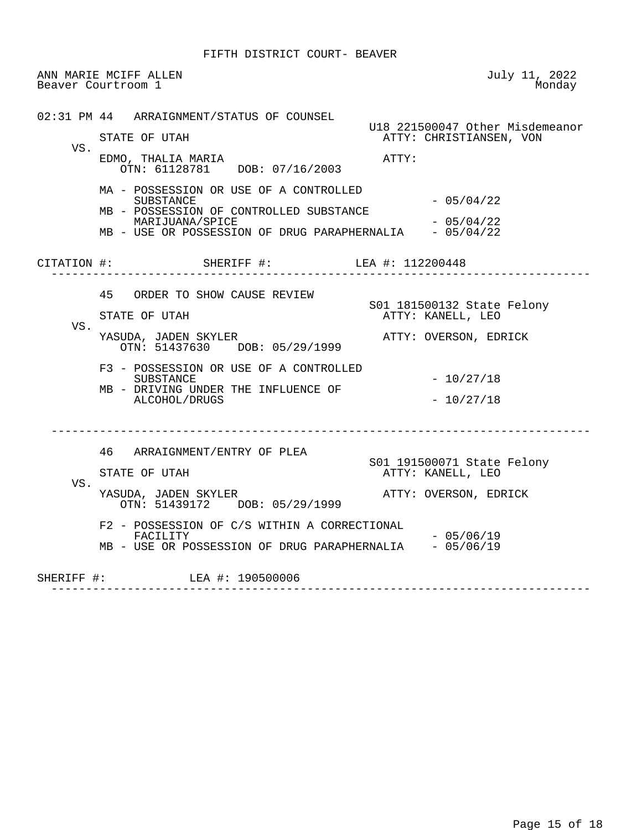ANN MARIE MCIFF ALLEN July 11, 2022 Beaver Courtroom 1

 02:31 PM 44 ARRAIGNMENT/STATUS OF COUNSEL U18 221500047 Other Misdemeanor ATTY: CHRISTIANSEN, VON VS. EDMO, THALIA MARIA **ATTY:**  OTN: 61128781 DOB: 07/16/2003 MA - POSSESSION OR USE OF A CONTROLLED  $-05/04/22$  MB - POSSESSION OF CONTROLLED SUBSTANCE MARIJUANA/SPICE - 05/04/22 MB - USE OR POSSESSION OF DRUG PARAPHERNALIA CITATION #: SHERIFF #: LEA #: 112200448 ------------------------------------------------------------------------------ 45 ORDER TO SHOW CAUSE REVIEW SO1 181500132 State Felony<br>STATE OF UTAH TERRY STATE ATTY: KANELL, LEO ATTY: KANELL, LEO VS.<br>YASUDA, JADEN SKYLER ATTY: OVERSON, EDRICK OTN: 51437630 DOB: 05/29/1999 F3 - POSSESSION OR USE OF A CONTROLLED  $-10/27/18$  MB - DRIVING UNDER THE INFLUENCE OF ALCOHOL/DRUGS - 10/27/18 ------------------------------------------------------------------------------ 46 ARRAIGNMENT/ENTRY OF PLEA S01 191500071 State Felony ATTY: KANELL, LEO VS. YASUDA, JADEN SKYLER **ATTY: OVERSON, EDRICK**  OTN: 51439172 DOB: 05/29/1999 F2 - POSSESSION OF C/S WITHIN A CORRECTIONAL  $-05/06/19$ MB - USE OR POSSESSION OF DRUG PARAPHERNALIA - 05/06/19 SHERIFF #: LEA #: 190500006 ------------------------------------------------------------------------------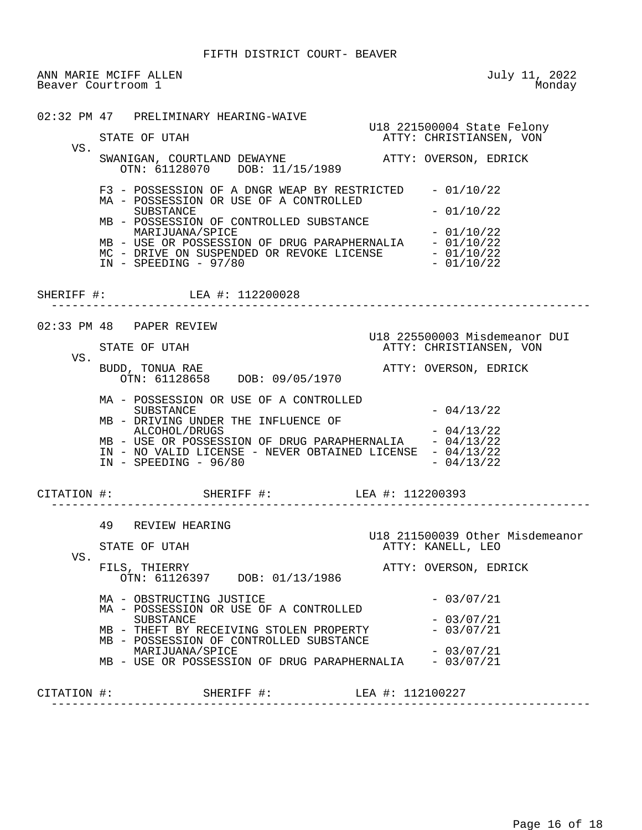ANN MARIE MCIFF ALLEN July 11, 2022 Beaver Courtroom 1

 02:32 PM 47 PRELIMINARY HEARING-WAIVE U18 221500004 State Felony ATTY: CHRISTIANSEN, VON VS. SWANIGAN, COURTLAND DEWAYNE **ATTY: OVERSON, EDRICK**  OTN: 61128070 DOB: 11/15/1989 F3 - POSSESSION OF A DNGR WEAP BY RESTRICTED - 01/10/22 MA - POSSESSION OR USE OF A CONTROLLED  $-01/10/22$  MB - POSSESSION OF CONTROLLED SUBSTANCE MARIJUANA/SPICE - 01/10/22 MB - USE OR POSSESSION OF DRUG PARAPHERNALIA - 01/10/22 MC - DRIVE ON SUSPENDED OR REVOKE LICENSE - 01/10/22<br>IN - SPEEDING - 97/80 - - - - - - - - - - - - 01/10/22  $IN - SPEEDING - 97/80$ SHERIFF #: LEA #: 112200028 ------------------------------------------------------------------------------ 02:33 PM 48 PAPER REVIEW U18 225500003 Misdemeanor DUI<br>ATTY: CHRISTIANSEN, VON ATTY: CHRISTIANSEN, VON VS.<br>BUDD, TONUA RAE ATTY: OVERSON, EDRICK OTN: 61128658 DOB: 09/05/1970 MA - POSSESSION OR USE OF A CONTROLLED  $SUBSTATE$   $-04/13/22$  MB - DRIVING UNDER THE INFLUENCE OF ALCOHOL/DRUGS - 04/13/22<br>USE OR POSSESSION OF DRUG PARAPHERNALIA - 04/13/22 MB - USE OR POSSESSION OF DRUG PARAPHERNALIA IN - NO VALID LICENSE - NEVER OBTAINED LICENSE -  $04/13/22$ <br>IN - SPEEDING -  $96/80$  -  $04/13/22$  $IN - SPERDING - 96/80$  CITATION #: SHERIFF #: LEA #: 112200393 ------------------------------------------------------------------------------ 49 REVIEW HEARING U18 211500039 Other Misdemeanor<br>TTY: KANELL, LEO ATTY: KANELL, LEO ATTY: KANELL, LEO VS.<br>FILS, THIERRY ATTY: OVERSON, EDRICK OTN: 61126397 DOB: 01/13/1986 MA - OBSTRUCTING JUSTICE  $- 03/07/21$  MA - POSSESSION OR USE OF A CONTROLLED  $-03/07/21$ <br> $-03/07/21$ MB - THEFT BY RECEIVING STOLEN PROPERTY MB - POSSESSION OF CONTROLLED SUBSTANCE MARIJUANA/SPICE - 03/07/21<br>USE OR POSSESSION OF DRUG PARAPHERNALIA - 03/07/21 MB - USE OR POSSESSION OF DRUG PARAPHERNALIA CITATION #: SHERIFF #: LEA #: 112100227 ------------------------------------------------------------------------------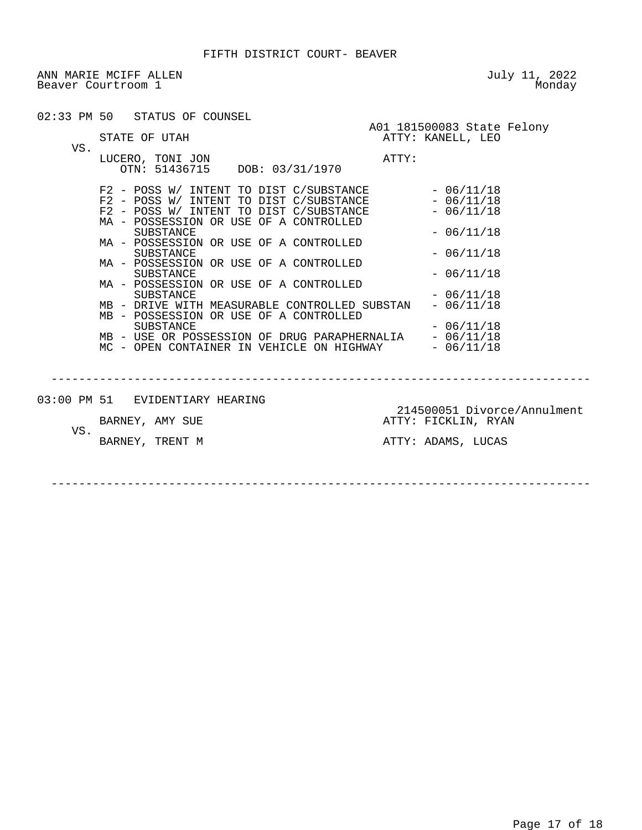ANN MARIE MCIFF ALLEN<br>Beaver Courtroom 1 Monday Beaver Courtroom 1

|     | 02:33 PM 50 STATUS OF COUNSEL                                                                                                                                                                                                                                                                                                                                                                                                                                                           | A01 181500083 State Felony                         |
|-----|-----------------------------------------------------------------------------------------------------------------------------------------------------------------------------------------------------------------------------------------------------------------------------------------------------------------------------------------------------------------------------------------------------------------------------------------------------------------------------------------|----------------------------------------------------|
| VS. | STATE OF UTAH                                                                                                                                                                                                                                                                                                                                                                                                                                                                           | ATTY: KANELL, LEO                                  |
|     | LUCERO, TONI JON<br>OTN: 51436715 DOB: 03/31/1970                                                                                                                                                                                                                                                                                                                                                                                                                                       | ATTY:                                              |
|     | $\begin{tabular}{lllllllllllll} \texttt{F2} & -\texttt{POSS} & \texttt{W/}\texttt{INTERT} & \texttt{TO DIST} & \texttt{C/SUBSTANCE} & & & -\texttt{06/11/18} \\ \texttt{F2} & -\texttt{POSS} & \texttt{W/}\texttt{INTERT} & \texttt{TO DIST} & \texttt{C/SUBSTANCE} & & & -\texttt{06/11/18} \\ \texttt{F2} & -\texttt{POSS} & \texttt{W/}\texttt{INTERT} & \texttt{TO DIST} & \texttt{C/SUBSTANCE} & & & -\texttt{06/11/18} \\ \end{tabular$<br>MA - POSSESSION OR USE OF A CONTROLLED |                                                    |
|     | SUBSTANCE<br>MA - POSSESSION OR USE OF A CONTROLLED<br>SUBSTANCE                                                                                                                                                                                                                                                                                                                                                                                                                        | $-06/11/18$<br>$-06/11/18$                         |
|     | MA - POSSESSION OR USE OF A CONTROLLED<br>SUBSTANCE                                                                                                                                                                                                                                                                                                                                                                                                                                     | $-06/11/18$                                        |
|     | MA - POSSESSION OR USE OF A CONTROLLED<br><b>SUBSTANCE</b><br>MB - DRIVE WITH MEASURABLE CONTROLLED SUBSTAN<br>MB - POSSESSION OR USE OF A CONTROLLED                                                                                                                                                                                                                                                                                                                                   | $-06/11/18$<br>$-06/11/18$                         |
|     | <b>SUBSTANCE</b><br>$\,$ MB – USE OR POSSESSION OF DRUG PARAPHERNALIA – 06/11/18 MC – OPEN CONTAINER IN VEHICLE ON HIGHWAY – 06/11/18                                                                                                                                                                                                                                                                                                                                                   | $-06/11/18$                                        |
|     |                                                                                                                                                                                                                                                                                                                                                                                                                                                                                         |                                                    |
|     | 03:00 PM 51 EVIDENTIARY HEARING                                                                                                                                                                                                                                                                                                                                                                                                                                                         |                                                    |
| VS. | BARNEY, AMY SUE                                                                                                                                                                                                                                                                                                                                                                                                                                                                         | 214500051 Divorce/Annulment<br>ATTY: FICKLIN, RYAN |
|     | BARNEY, TRENT M                                                                                                                                                                                                                                                                                                                                                                                                                                                                         | ATTY: ADAMS, LUCAS                                 |
|     |                                                                                                                                                                                                                                                                                                                                                                                                                                                                                         |                                                    |